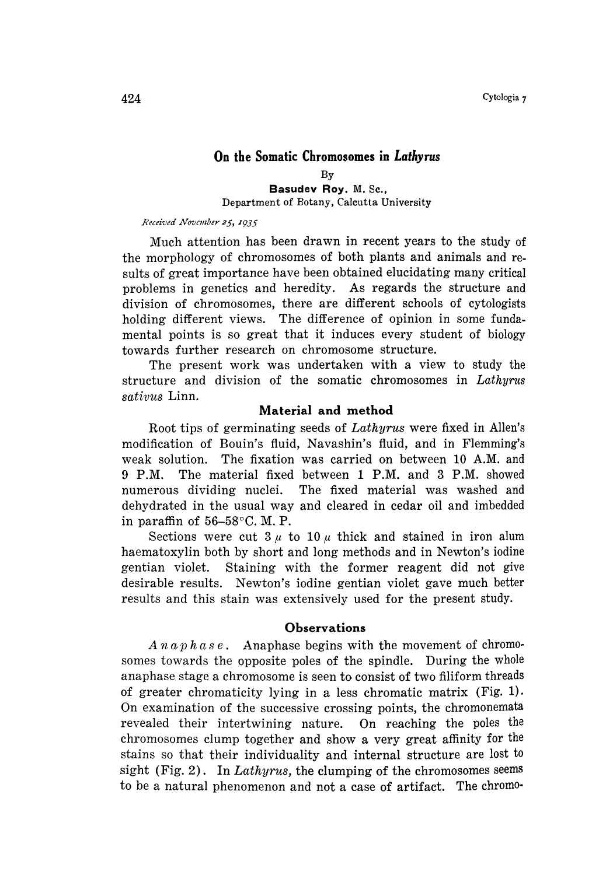# On the Somatic Chromosomes in Lathyrus

By Basudev Roy. M. Sc., Department of Botany, Calcutta University

Received November 25, 1935

Much attention has been drawn in recent years to the study of the morphology of chromosomes of both plants and animals and re sults of great importance have been obtained elucidating many critical problems in genetics and heredity. As regards the structure and division of chromosomes, there are different schools of cytologists holding different views. The difference of opinion in some fundamental points is so great that it induces every student of biology towards further research on chromosome structure.

The present work was undertaken with a view to study the structure and division of the somatic chromosomes in Lathyrus sativus Linn.

# Material and method

Root tips of germinating seeds of Lathyrus were fixed in Allen's modification of Bouin's fluid, Navashin's fluid, and in Flemming's weak solution. The fixation was carried on between 10A.M. and 9P.M. The material fixed between 1P.M. and 3P.M. showed numerous dividing nuclei. The fixed material was washed and dehydrated in the usual way and cleared in cedar oil and imbedded in paraffin of  $56-58$ °C. M. P.

Sections were cut  $3\mu$  to  $10\mu$  thick and stained in iron alum haematoxylin both by short and long methods and in Newton's iodine gentian violet. Staining with the former reagent did not give desirable results. Newton's iodine gentian violet gave much better results and this stain was extensively used for the present study.

## Observations

 $A\,n\,a\,p\,h\,a\,s\,e$ . Anaphase begins with the movement of chromosomes towards the opposite poles of the spindle. During the whole anaphase stage a chromosome is seen to consist of two filiform threads of greater chromaticity lying in a less chromatic matrix (Fig. 1). On examination of the successive crossing points, the chromonemata revealed their intertwining nature. On reaching the poles the chromosomes clump together and show a very great affinity for the stains so that their individuality and internal structure are lost to sight (Fig. 2). In Lathyrus, the clumping of the chromosomes seems to be a natural phenomenon and not a case of artifact. The chromo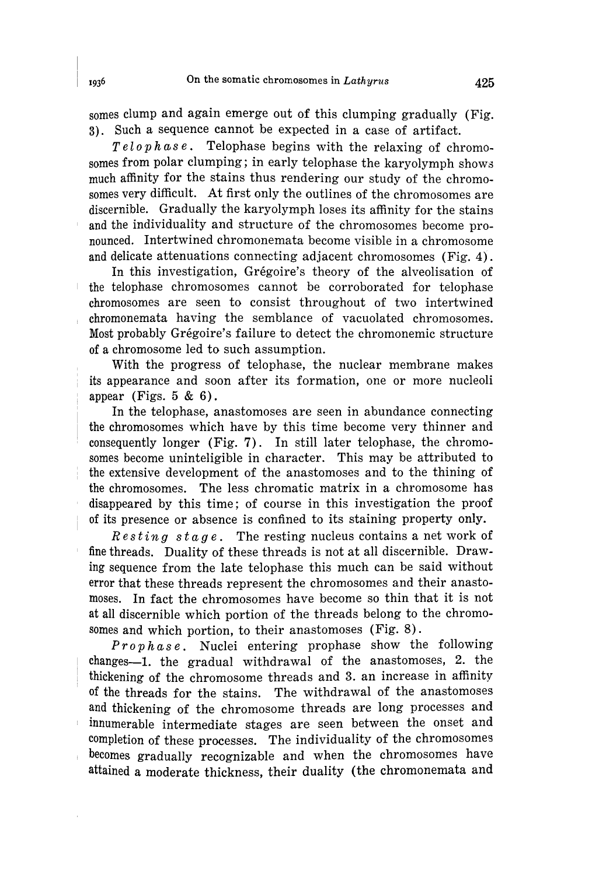somes clump and again emerge out of this clumping gradually (Fig. 3). Such a sequence cannot be expected in a case of artifact.

 $Telophase$ . Telophase begins with the relaxing of chromosomes from polar clumping; in early telophase the karyolymph shows much affinity for the stains thus rendering our study of the chromo somes very difficult. At first only the outlines of the chromosomes are discernible. Gradually the karyolymph loses its affinity for the stains and the individuality and structure of the chromosomes become pro nounced. Intertwined chromonemata become visible in a chromosome and delicate attenuations connecting adjacent chromosomes (Fig. 4).

In this investigation, Grégoire's theory of the alveolisation of the telophase chromosomes cannot be corroborated for telophase chromosomes are seen to consist throughout of two intertwined chromonemata having the semblance of vacuolated chromosomes. Most probably Grégoire's failure to detect the chromonemic structure of a chromosome led to such assumption.

With the progress of telophase, the nuclear membrane makes its appearance and soon after its formation, one or more nucleoli appear (Figs.  $5 \& 6$ ).

In the telophase, anastomoses are seen in abundance connecting the chromosomes which have by this time become very thinner and consequently longer (Fig. 7). In still later telophase, the chromo somes become uninteligible in character. This may be attributed to the extensive development of the anastomoses and to the thining of the chromosomes. The less chromatic matrix in a chromosome has disappeared by this time; of course in this investigation the proof of its presence or absence is confined to its staining property only.

 $Resting\;sta\,ge.$  The resting nucleus contains a net work of fine threads. Duality of these threads is not at all discernible. Draw ing sequence from the late telophase this much can be said without error that these threads represent the chromosomes and their anasto moses. In fact the chromosomes have become so thin that it is not at all discernible which portion of the threads belong to the chromo somes and which portion, to their anastomoses (Fig. 8).

Prophase. Nuclei entering prophase show the following changes-1. the gradual withdrawal of the anastomoses, 2. the thickening of the chromosome threads and 3. an increase in affinity of the threads for the stains. The withdrawal of the anastomoses and thickening of the chromosome threads are long processes and innumerable intermediate stages are seen between the onset and completion of these processes. The individuality of the chromosomes becomes gradually recognizable and when the chromosomes have attained a moderate thickness, their duality (the chromonemata and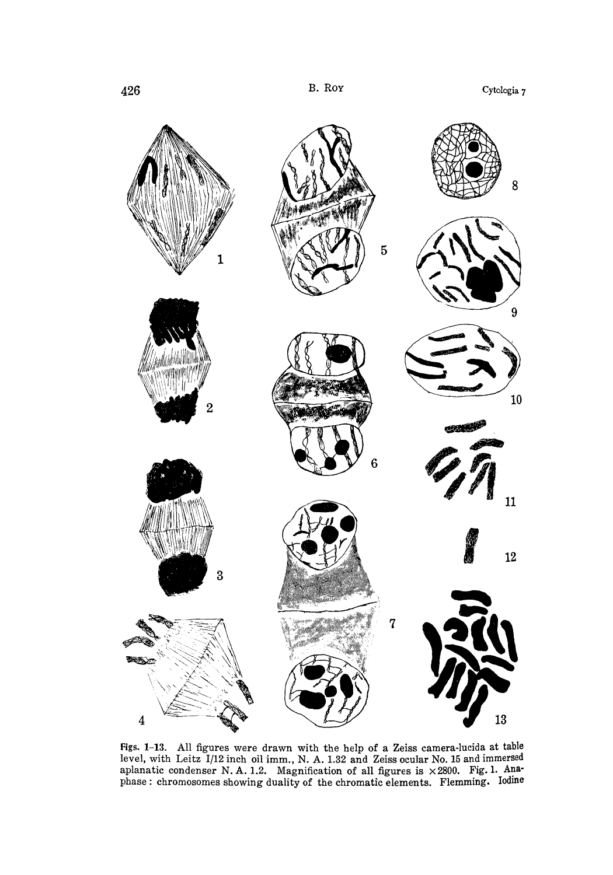

Figs. 1-13. All figures were drawn with the help of a Zeiss camera-lucida at table level, with Leitz  $1/12$  inch oil imm., N. A. 1.32 and Zeiss ocular No. 15 and immers aplanatic condenser N.A. 1.2. Magnification of all figures is  $\times$  2800. Fig. 1. Ana phase: chromosomes showing duality of the chromatic elements. Flemming. Iodine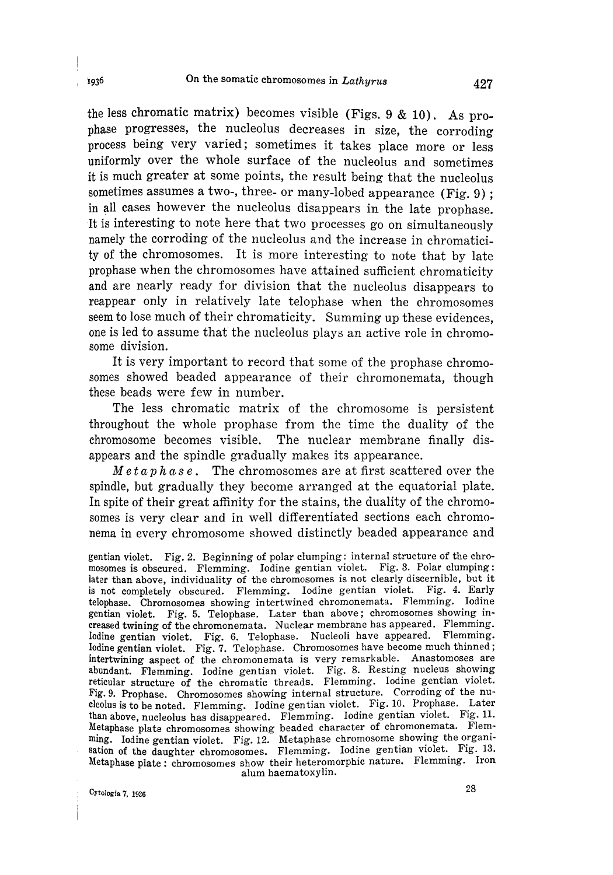the less chromatic matrix) becomes visible (Figs.  $9 & 10$ ). As prophase progresses, the nucleolus decreases in size, the corroding process being very varied; sometimes it takes place more or less uniformly over the whole surface of the nucleolus and sometimes it is much greater at some points, the result being that the nucleolus sometimes assumes a two-, three- or many-lobed appearance (Fig.  $9$ ); in all cases however the nucleolus disappears in the late prophase. It is interesting to note here that two processes go on simultaneously namely the corroding of the nucleolus and the increase in chromatici ty of the chromosomes. It is more interesting to note that by late prophase when the chromosomes have attained sufficient chromaticity and are nearly ready for division that the nucleolus disappears to reappear only in relatively late telophase when the chromosomes seem to lose much of their chromaticity. Summing up these evidences, one is led to assume that the nucleolus plays an active role in chromo some division.

It is very important to record that some of the prophase chromo somes showed beaded appearance of their chromonemata, though these beads were few in number.

The less chromatic matrix of the chromosome is persistent throughout the whole prophase from the time the duality of the chromosome becomes visible. The nuclear membrane finally dis appears and the spindle gradually makes its appearance.

 $Meta p h a s e$ . The chromosomes are at first scattered over the spindle, but gradually they become arranged at the equatorial plate. In spite of their great affinity for the stains, the duality of the chromosomes is very clear and in well differentiated sections each chromo nema in every chromosome showed distinctly beaded appearance and

gentian violet. Fig. 2. Beginning of polar clumping: internal structure of the chro mosomes is obscured. Flemming. Iodine gentian violet. Fig. 3. Polar clumping: later than above, individuality of the chromosomes is not clearly discernible, but it is not completely obscured. Flemming. Iodine gentian violet. Fig. 4. Early telophase. Chromosomes showing intertwined chromonemata. Flemming. Iodine gentian violet. Fig. 5. Telophase. Later than above; chromosomes showing in creased twining of the chromonemata. Nuclear membrane has appeared. Flemming. Iodine gentian violet. Fig. 6. Telophase. Nucleoli have appeared. Flemming. Iodine gentian violet. Fig. 7. Telophase. Chromosomes have become much thinned; intertwining aspect of the chromonemata is very remarkable. Anastomoses are abundant. Flemming. Iodine gentian violet. Fig. 8. Resting nucleus showing reticular structure of the chromatic threads. Flemming. Iodine gentian violet. Fig. 9. Prophase. Chromosomes showing internal structure. Corroding of the nu cleolus is to be noted. Flemming. Iodine gentian violet. Fig. 10. Prophase. Later than above, nucleolus has disappeared. Flemming. Iodine gentian violet. Fig. 11. Metaphase plate chromosomes showing beaded character of chromonemata. Flem ming. Iodine gentian violet. Fig. 12. Metaphase chromosome showing the organi sation of the daughter chromosomes. Flemming. Iodine gentian violet. Fig. 13. Metaphase plate: chromosomes show their heteromorphic nature. Flemming. Iron alum haematoxylin.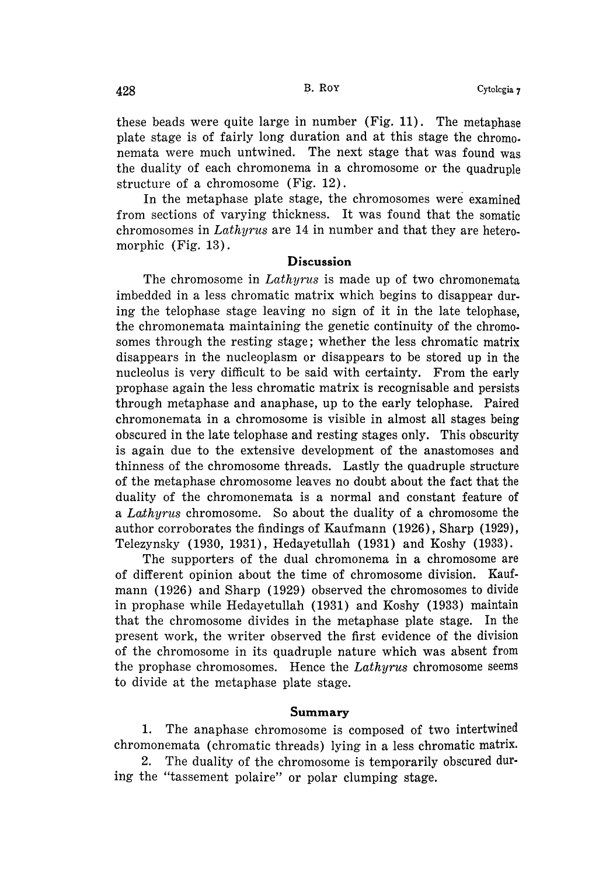these beads were quite large in number (Fig. 11). The metaphase plate stage is of fairly long duration and at this stage the chromo nemata were much untwined. The next stage that was found was the duality of each chromonema in a chromosome or the quadruple structure of a chromosome (Fig. 12).

In the metaphase plate stage, the chromosomes were examined from sections of varying thickness. It was found that the somatic chromosomes in Lathyrus are 14 in number and that they are heteromorphic (Fig. 13).

### Discussion

The chromosome in Lathyrus is made up of two chromonemata imbedded in a less chromatic matrix which begins to disappear dur ing the telophase stage leaving no sign of it in the late telophase, the chromonemata maintaining the genetic continuity of the chromo somes through the resting stage; whether the less chromatic matrix disappears in the nucleoplasm or disappears to be stored up in the nucleolus is very difficult to be said with certainty. From the early prophase again the less chromatic matrix is recognisable and persists through metaphase and anaphase, up to the early telophase. Paired chromonemata in a chromosome is visible in almost all stages being obscured in the late telophase and resting stages only. This obscurity is again due to the extensive development of the anastomoses and thinness of the chromosome threads. Lastly the quadruple structure of the metaphase chromosome leaves no doubt about the fact that the duality of the chromonemata is a normal and constant feature of a Lathyrus chromosome. So about the duality of a chromosome the author corroborates the findings of Kaufmann (1926), Sharp (1929), Telezynsky (1930, 1931), Hedayetullah (1931) and Koshy (1933).

The supporters of the dual chromonema in a chromosome are of different opinion about the time of chromosome division. Kauf mann (1926) and Sharp (1929) observed the chromosomes to divide in prophase while Hedayetullah (1931) and Koshy (1933) maintain that the chromosome divides in the metaphase plate stage. In the present work, the writer observed the first evidence of the division of the chromosome in its quadruple nature which was absent from the prophase chromosomes. Hence the  $Lathyrus$  chromosome seems to divide at the metaphase plate stage.

#### Summary

1. The anaphase chromosome is composed of two intertwined chromonemata (chromatic threads) lying in a less chromatic matrix.

2. The duality of the chromosome is temporarily obscured dur ing the "tassement polaire" or polar clumping stage.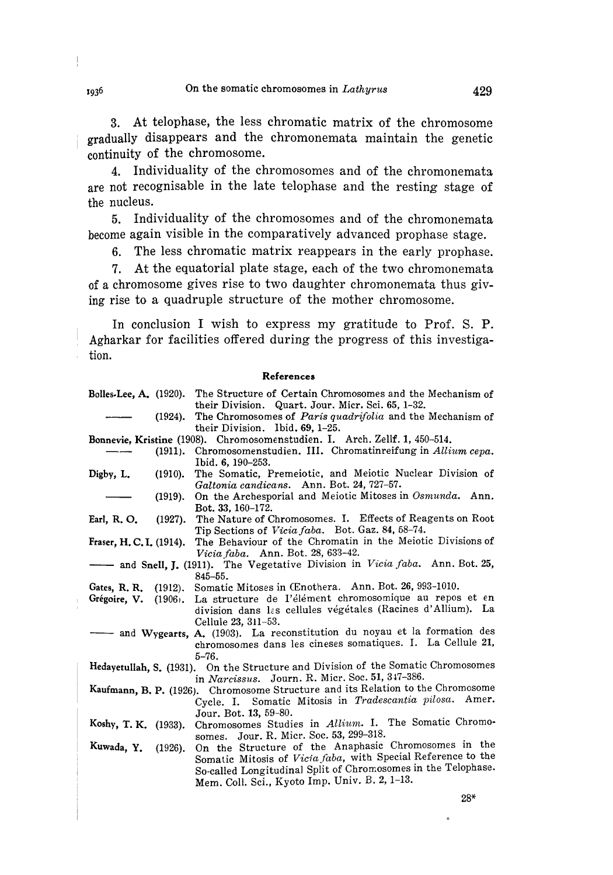3. At telophase, the less chromatic matrix of the chromosome gradually disappears and the chromonemata maintain the genetic continuity of the chromosome.

4. Individuality of the chromosomes and of the chromonemata are not recognisable in the late telophase and the resting stage of the nucleus.

5. Individuality of the chromosomes and of the chromonemata become again visible in the comparatively advanced prophase stage.

6. The less chromatic matrix reappears in the early prophase.

7. At the equatorial plate stage, each of the two chromonemata of a chromosome gives rise to two daughter chromonemata thus giv ing rise to a quadruple structure of the mother chromosome.

In conclusion I wish to express my gratitude to Prof. S. P. Agharkar for facilities offered during the progress of this investiga tion.

#### References

| <b>Bolles-Lee, A.</b> (1920).                                                     |            | The Structure of Certain Chromosomes and the Mechanism of                                                             |
|-----------------------------------------------------------------------------------|------------|-----------------------------------------------------------------------------------------------------------------------|
|                                                                                   | $(1924)$ . | their Division. Quart. Jour. Micr. Sci. 65, 1-32.<br>The Chromosomes of <i>Paris quadrifolia</i> and the Mechanism of |
|                                                                                   |            | their Division. Ibid. $69, 1-25$ .                                                                                    |
| <b>Bonnevie, Kristine</b> (1908). Chromosomenstudien. I. Arch. Zellf. 1, 450–514. |            |                                                                                                                       |
|                                                                                   | $(1911)$ . | Chromosomenstudien. III. Chromatinreifung in Allium cepa.                                                             |
|                                                                                   |            | Ibid. 6, 190–253.                                                                                                     |
| Digby, L.                                                                         | $(1910)$ . | The Somatic, Premeiotic, and Meiotic Nuclear Division of                                                              |
|                                                                                   |            | Galtonia candicans. Ann. Bot. 24, 727-57.                                                                             |
|                                                                                   | $(1919)$ . | On the Archesporial and Meiotic Mitoses in Osmunda. Ann.                                                              |
|                                                                                   |            | Bot. 33, 160-172.                                                                                                     |
| Earl, R.O.                                                                        | $(1927)$ . | The Nature of Chromosomes. I. Effects of Reagents on Root                                                             |
|                                                                                   |            | Tip Sections of Vicia faba. Bot. Gaz. 84, 58-74.                                                                      |
| Fraser, H. C. I. (1914).                                                          |            | The Behaviour of the Chromatin in the Meiotic Divisions of                                                            |
| <i>Vicia faba.</i> Ann. Bot. 28, 633-42.                                          |            |                                                                                                                       |
|                                                                                   |            | and Snell, J. (1911). The Vegetative Division in Vicia faba. Ann. Bot. 25,                                            |
|                                                                                   |            | $845 - 55.$<br>Somatic Mitoses in CEnothera. Ann. Bot. 26, 993-1010.                                                  |
| Gates, R.R.                                                                       | $(1912)$ . | La structure de l'élément chromosomique au repos et en                                                                |
| Grégoire, V.                                                                      | $(1906)$ . | division dans las cellules végétales (Racines d'Allium). La                                                           |
|                                                                                   |            | Cellule 23, 311-53.                                                                                                   |
|                                                                                   |            | and Wygearts, A. (1903). La reconstitution du noyau et la formation des                                               |
|                                                                                   |            | chromosomes dans les cineses somatiques. I. La Cellule 21,                                                            |
|                                                                                   |            | $5 - 76.$                                                                                                             |
| Hedayetullah, S. (1931). On the Structure and Division of the Somatic Chromosomes |            |                                                                                                                       |
| in Narcissus. Journ. R. Micr. Soc. 51, 347-386.                                   |            |                                                                                                                       |
| Kaufmann, B. P. (1926). Chromosome Structure and its Relation to the Chromosome   |            |                                                                                                                       |
|                                                                                   |            | Cycle. I. Somatic Mitosis in Tradescantia pilosa. Amer.                                                               |
|                                                                                   |            | Jour. Bot. 13, 59-80.                                                                                                 |
| Koshy, T. K. (1933).                                                              |            | Chromosomes Studies in Allium. I. The Somatic Chromo-                                                                 |
|                                                                                   |            | Jour. R. Micr. Soc. 53, 299-318.<br>somes.                                                                            |
| Kuwada, Y.                                                                        | $(1926)$ . | On the Structure of the Anaphasic Chromosomes in the                                                                  |
|                                                                                   |            | Somatic Mitosis of Vicia faba, with Special Reference to the                                                          |
|                                                                                   |            | So-called Longitudinal Split of Chromosomes in the Telophase.                                                         |
|                                                                                   |            | Mem. Coll. Sci., Kyoto Imp. Univ. B. 2, 1-13.                                                                         |

 $\frac{1}{2}$